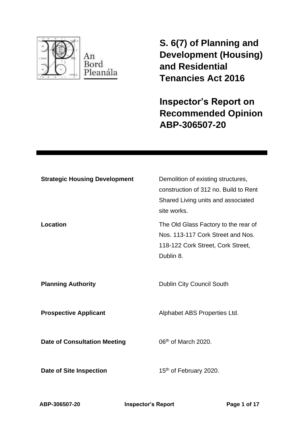

**S. 6(7) of Planning and Development (Housing) and Residential Tenancies Act 2016** 

**Inspector's Report on Recommended Opinion ABP-306507-20**

| <b>Strategic Housing Development</b> | Demolition of existing structures,<br>construction of 312 no. Build to Rent<br>Shared Living units and associated<br>site works. |
|--------------------------------------|----------------------------------------------------------------------------------------------------------------------------------|
| Location                             | The Old Glass Factory to the rear of<br>Nos. 113-117 Cork Street and Nos.<br>118-122 Cork Street, Cork Street,<br>Dublin 8.      |
| <b>Planning Authority</b>            | <b>Dublin City Council South</b>                                                                                                 |
| <b>Prospective Applicant</b>         | Alphabet ABS Properties Ltd.                                                                                                     |
| <b>Date of Consultation Meeting</b>  | 06 <sup>th</sup> of March 2020.                                                                                                  |
| <b>Date of Site Inspection</b>       | 15 <sup>th</sup> of February 2020.                                                                                               |

**ABP-306507-20 Inspector's Report Page 1 of 17**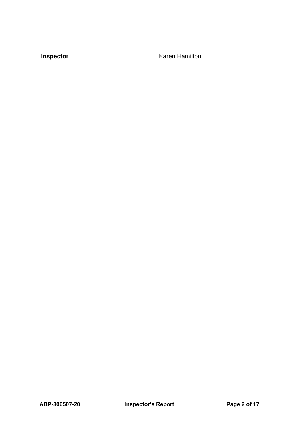**Inspector Karen Hamilton**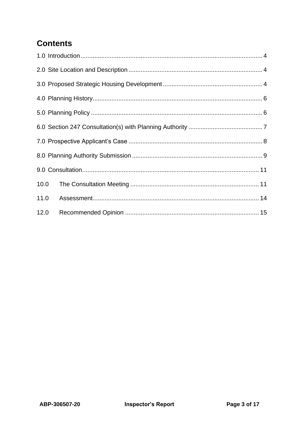# **Contents**

| 10.0 |  |
|------|--|
| 11.0 |  |
| 12.0 |  |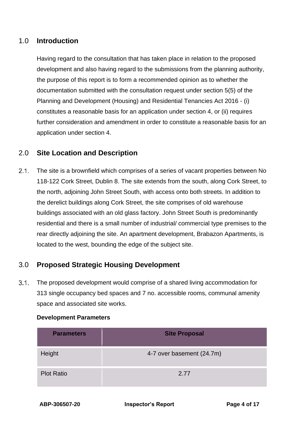### <span id="page-3-0"></span>1.0 **Introduction**

Having regard to the consultation that has taken place in relation to the proposed development and also having regard to the submissions from the planning authority, the purpose of this report is to form a recommended opinion as to whether the documentation submitted with the consultation request under section 5(5) of the Planning and Development (Housing) and Residential Tenancies Act 2016 - (i) constitutes a reasonable basis for an application under section 4, or (ii) requires further consideration and amendment in order to constitute a reasonable basis for an application under section 4.

## <span id="page-3-1"></span>2.0 **Site Location and Description**

 $2.1.$ The site is a brownfield which comprises of a series of vacant properties between No 118-122 Cork Street, Dublin 8. The site extends from the south, along Cork Street, to the north, adjoining John Street South, with access onto both streets. In addition to the derelict buildings along Cork Street, the site comprises of old warehouse buildings associated with an old glass factory. John Street South is predominantly residential and there is a small number of industrial/ commercial type premises to the rear directly adjoining the site. An apartment development, Brabazon Apartments, is located to the west, bounding the edge of the subject site.

## <span id="page-3-2"></span>3.0 **Proposed Strategic Housing Development**

 $3.1.$ The proposed development would comprise of a shared living accommodation for 313 single occupancy bed spaces and 7 no. accessible rooms, communal amenity space and associated site works.

| <b>Parameters</b> | <b>Site Proposal</b>      |
|-------------------|---------------------------|
| Height            | 4-7 over basement (24.7m) |
| <b>Plot Ratio</b> | 2.77                      |

### **Development Parameters**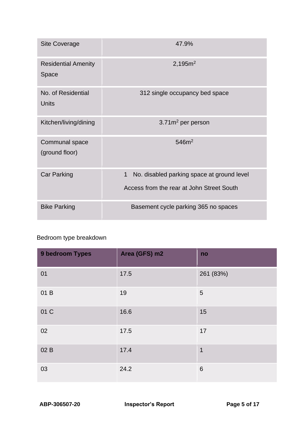| <b>Site Coverage</b>                | 47.9%                                                      |  |
|-------------------------------------|------------------------------------------------------------|--|
| <b>Residential Amenity</b><br>Space | 2,195m <sup>2</sup>                                        |  |
| No. of Residential<br><b>Units</b>  | 312 single occupancy bed space                             |  |
| Kitchen/living/dining               | 3.71m <sup>2</sup> per person                              |  |
| Communal space<br>(ground floor)    | 546m <sup>2</sup>                                          |  |
| <b>Car Parking</b>                  | $\mathbf{1}$<br>No. disabled parking space at ground level |  |
|                                     | Access from the rear at John Street South                  |  |
| <b>Bike Parking</b>                 | Basement cycle parking 365 no spaces                       |  |

## Bedroom type breakdown

| <b>9 bedroom Types</b> | Area (GFS) m2 | no              |
|------------------------|---------------|-----------------|
| 01                     | 17.5          | 261 (83%)       |
| 01 B                   | 19            | 5               |
| 01 C                   | 16.6          | 15              |
| 02                     | 17.5          | 17              |
| 02 B                   | 17.4          | $\mathbf 1$     |
| 03                     | 24.2          | $6\phantom{1}6$ |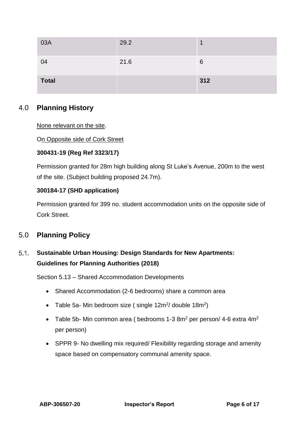| 03A          | 29.2 |     |
|--------------|------|-----|
| 04           | 21.6 | 6   |
| <b>Total</b> |      | 312 |

## <span id="page-5-0"></span>4.0 **Planning History**

### None relevant on the site.

On Opposite side of Cork Street

### **300431-19 (Reg Ref 3323/17)**

Permission granted for 28m high building along St Luke's Avenue, 200m to the west of the site. (Subject building proposed 24.7m).

### **300184-17 (SHD application)**

Permission granted for 399 no. student accommodation units on the opposite side of Cork Street.

## <span id="page-5-1"></span>5.0 **Planning Policy**

### $5.1.$ **Sustainable Urban Housing: Design Standards for New Apartments: Guidelines for Planning Authorities (2018)**

Section 5.13 – Shared Accommodation Developments

- Shared Accommodation (2-6 bedrooms) share a common area
- Table 5a- Min bedroom size (single  $12m^2/d$  double  $18m^2$ )
- Table 5b- Min common area ( bedrooms  $1-3$  8m<sup>2</sup> per person/  $4-6$  extra  $4m^2$ per person)
- SPPR 9- No dwelling mix required/ Flexibility regarding storage and amenity space based on compensatory communal amenity space.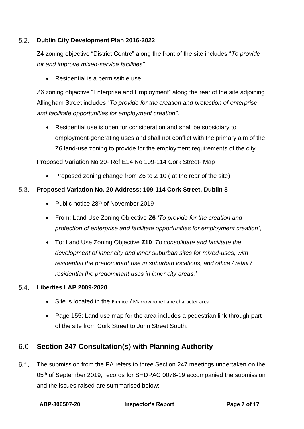#### $5.2.$ **Dublin City Development Plan 2016-2022**

Z4 zoning objective "District Centre" along the front of the site includes "*To provide for and improve mixed-service facilities"*

• Residential is a permissible use.

Z6 zoning objective "Enterprise and Employment" along the rear of the site adjoining Allingham Street includes "*To provide for the creation and protection of enterprise and facilitate opportunities for employment creation"*.

• Residential use is open for consideration and shall be subsidiary to employment-generating uses and shall not conflict with the primary aim of the Z6 land-use zoning to provide for the employment requirements of the city.

Proposed Variation No 20- Ref E14 No 109-114 Cork Street- Map

• Proposed zoning change from Z6 to Z 10 (at the rear of the site)

#### $5.3.$ **Proposed Variation No. 20 Address: 109-114 Cork Street, Dublin 8**

- Public notice 28<sup>th</sup> of November 2019
- From: Land Use Zoning Objective **Z6** *'To provide for the creation and protection of enterprise and facilitate opportunities for employment creation'*,
- To: Land Use Zoning Objective **Z10** '*To consolidate and facilitate the development of inner city and inner suburban sites for mixed-uses, with residential the predominant use in suburban locations, and office / retail / residential the predominant uses in inner city areas.'*

#### 5.4. **Liberties LAP 2009-2020**

- Site is located in the Pimlico / Marrowbone Lane character area.
- Page 155: Land use map for the area includes a pedestrian link through part of the site from Cork Street to John Street South.

## <span id="page-6-0"></span>6.0 **Section 247 Consultation(s) with Planning Authority**

 $6.1.$ The submission from the PA refers to three Section 247 meetings undertaken on the 05<sup>th</sup> of September 2019, records for SHDPAC 0076-19 accompanied the submission and the issues raised are summarised below: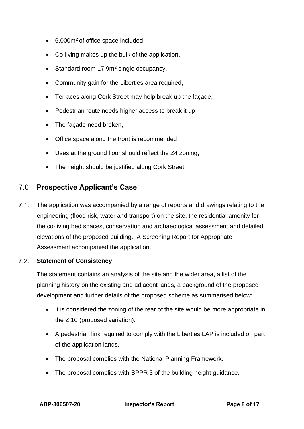- 6,000m<sup>2</sup> of office space included,
- Co-living makes up the bulk of the application,
- Standard room 17.9m<sup>2</sup> single occupancy,
- Community gain for the Liberties area required,
- Terraces along Cork Street may help break up the façade,
- Pedestrian route needs higher access to break it up,
- The façade need broken,
- Office space along the front is recommended,
- Uses at the ground floor should reflect the Z4 zoning,
- <span id="page-7-0"></span>• The height should be justified along Cork Street.

## 7.0 **Prospective Applicant's Case**

 $7.1.$ The application was accompanied by a range of reports and drawings relating to the engineering (flood risk, water and transport) on the site, the residential amenity for the co-living bed spaces, conservation and archaeological assessment and detailed elevations of the proposed building. A Screening Report for Appropriate Assessment accompanied the application.

#### $7.2.$ **Statement of Consistency**

The statement contains an analysis of the site and the wider area, a list of the planning history on the existing and adjacent lands, a background of the proposed development and further details of the proposed scheme as summarised below:

- It is considered the zoning of the rear of the site would be more appropriate in the Z 10 (proposed variation).
- A pedestrian link required to comply with the Liberties LAP is included on part of the application lands.
- The proposal complies with the National Planning Framework.
- The proposal complies with SPPR 3 of the building height guidance.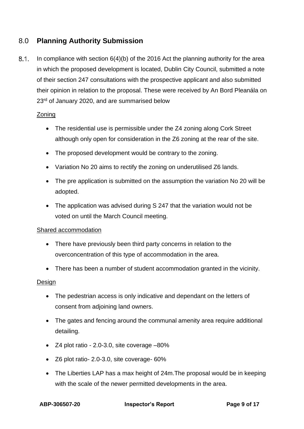## <span id="page-8-0"></span>8.0 **Planning Authority Submission**

 $8.1.$ In compliance with section  $6(4)(b)$  of the 2016 Act the planning authority for the area in which the proposed development is located, Dublin City Council, submitted a note of their section 247 consultations with the prospective applicant and also submitted their opinion in relation to the proposal. These were received by An Bord Pleanála on 23<sup>rd</sup> of January 2020, and are summarised below

### Zoning

- The residential use is permissible under the Z4 zoning along Cork Street although only open for consideration in the Z6 zoning at the rear of the site.
- The proposed development would be contrary to the zoning.
- Variation No 20 aims to rectify the zoning on underutilised Z6 lands.
- The pre application is submitted on the assumption the variation No 20 will be adopted.
- The application was advised during S 247 that the variation would not be voted on until the March Council meeting.

### Shared accommodation

- There have previously been third party concerns in relation to the overconcentration of this type of accommodation in the area.
- There has been a number of student accommodation granted in the vicinity.

### **Design**

- The pedestrian access is only indicative and dependant on the letters of consent from adjoining land owners.
- The gates and fencing around the communal amenity area require additional detailing.
- Z4 plot ratio 2.0-3.0, site coverage –80%
- Z6 plot ratio- 2.0-3.0, site coverage- 60%
- The Liberties LAP has a max height of 24m.The proposal would be in keeping with the scale of the newer permitted developments in the area.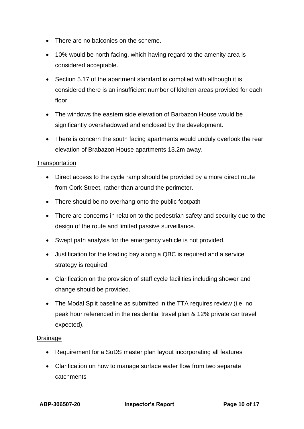- There are no balconies on the scheme.
- 10% would be north facing, which having regard to the amenity area is considered acceptable.
- Section 5.17 of the apartment standard is complied with although it is considered there is an insufficient number of kitchen areas provided for each floor.
- The windows the eastern side elevation of Barbazon House would be significantly overshadowed and enclosed by the development.
- There is concern the south facing apartments would unduly overlook the rear elevation of Brabazon House apartments 13.2m away.

### **Transportation**

- Direct access to the cycle ramp should be provided by a more direct route from Cork Street, rather than around the perimeter.
- There should be no overhang onto the public footpath
- There are concerns in relation to the pedestrian safety and security due to the design of the route and limited passive surveillance.
- Swept path analysis for the emergency vehicle is not provided.
- Justification for the loading bay along a QBC is required and a service strategy is required.
- Clarification on the provision of staff cycle facilities including shower and change should be provided.
- The Modal Split baseline as submitted in the TTA requires review (i.e. no peak hour referenced in the residential travel plan & 12% private car travel expected).

### Drainage

- Requirement for a SuDS master plan layout incorporating all features
- Clarification on how to manage surface water flow from two separate catchments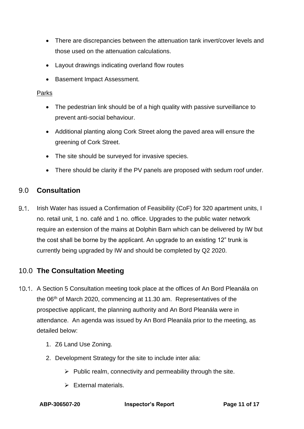- There are discrepancies between the attenuation tank invert/cover levels and those used on the attenuation calculations.
- Layout drawings indicating overland flow routes
- Basement Impact Assessment.

### Parks

- The pedestrian link should be of a high quality with passive surveillance to prevent anti-social behaviour.
- Additional planting along Cork Street along the paved area will ensure the greening of Cork Street.
- The site should be surveyed for invasive species.
- <span id="page-10-0"></span>• There should be clarity if the PV panels are proposed with sedum roof under.

## 9.0 **Consultation**

 $9.1.$ Irish Water has issued a Confirmation of Feasibility (CoF) for 320 apartment units, I no. retail unit, 1 no. café and 1 no. office. Upgrades to the public water network require an extension of the mains at Dolphin Barn which can be delivered by IW but the cost shall be borne by the applicant. An upgrade to an existing 12" trunk is currently being upgraded by IW and should be completed by Q2 2020.

## <span id="page-10-1"></span>10.0 **The Consultation Meeting**

- 10.1. A Section 5 Consultation meeting took place at the offices of An Bord Pleanála on the 06th of March 2020, commencing at 11.30 am. Representatives of the prospective applicant, the planning authority and An Bord Pleanála were in attendance. An agenda was issued by An Bord Pleanála prior to the meeting, as detailed below:
	- 1. Z6 Land Use Zoning.
	- 2. Development Strategy for the site to include inter alia:
		- $\triangleright$  Public realm, connectivity and permeability through the site.
		- ➢ External materials.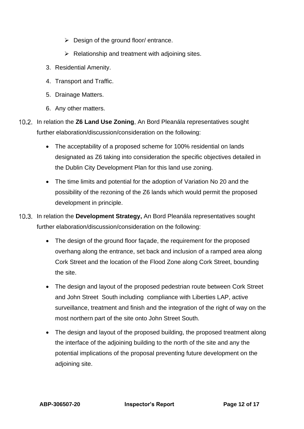- $\triangleright$  Design of the ground floor/ entrance.
- $\triangleright$  Relationship and treatment with adjoining sites.
- 3. Residential Amenity.
- 4. Transport and Traffic.
- 5. Drainage Matters.
- 6. Any other matters.
- 10.2. In relation the **Z6 Land Use Zoning**, An Bord Pleanála representatives sought further elaboration/discussion/consideration on the following:
	- The acceptability of a proposed scheme for 100% residential on lands designated as Z6 taking into consideration the specific objectives detailed in the Dublin City Development Plan for this land use zoning.
	- The time limits and potential for the adoption of Variation No 20 and the possibility of the rezoning of the Z6 lands which would permit the proposed development in principle.
- 10.3. In relation the Development Strategy, An Bord Pleanála representatives sought further elaboration/discussion/consideration on the following:
	- The design of the ground floor façade, the requirement for the proposed overhang along the entrance, set back and inclusion of a ramped area along Cork Street and the location of the Flood Zone along Cork Street, bounding the site.
	- The design and layout of the proposed pedestrian route between Cork Street and John Street South including compliance with Liberties LAP, active surveillance, treatment and finish and the integration of the right of way on the most northern part of the site onto John Street South.
	- The design and layout of the proposed building, the proposed treatment along the interface of the adjoining building to the north of the site and any the potential implications of the proposal preventing future development on the adjoining site.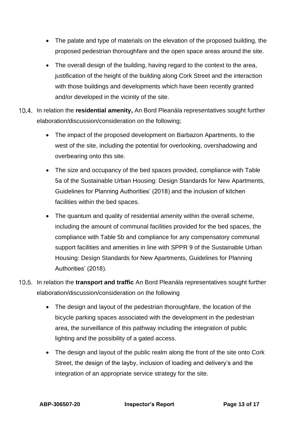- The palate and type of materials on the elevation of the proposed building, the proposed pedestrian thoroughfare and the open space areas around the site.
- The overall design of the building, having regard to the context to the area, justification of the height of the building along Cork Street and the interaction with those buildings and developments which have been recently granted and/or developed in the vicinity of the site.
- 10.4. In relation the **residential amenity**, An Bord Pleanála representatives sought further elaboration/discussion/consideration on the following;
	- The impact of the proposed development on Barbazon Apartments, to the west of the site, including the potential for overlooking, overshadowing and overbearing onto this site.
	- The size and occupancy of the bed spaces provided, compliance with Table 5a of the Sustainable Urban Housing: Design Standards for New Apartments, Guidelines for Planning Authorities' (2018) and the inclusion of kitchen facilities within the bed spaces.
	- The quantum and quality of residential amenity within the overall scheme, including the amount of communal facilities provided for the bed spaces, the compliance with Table 5b and compliance for any compensatory communal support facilities and amenities in line with SPPR 9 of the Sustainable Urban Housing: Design Standards for New Apartments, Guidelines for Planning Authorities' (2018).
- 10.5. In relation the **transport and traffic** An Bord Pleanála representatives sought further elaboration/discussion/consideration on the following
	- The design and layout of the pedestrian thoroughfare, the location of the bicycle parking spaces associated with the development in the pedestrian area, the surveillance of this pathway including the integration of public lighting and the possibility of a gated access.
	- The design and layout of the public realm along the front of the site onto Cork Street, the design of the layby, inclusion of loading and delivery's and the integration of an appropriate service strategy for the site.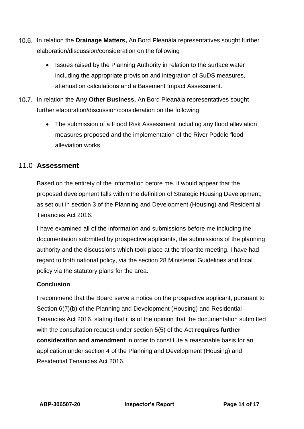- 10.6. In relation the **Drainage Matters**, An Bord Pleanála representatives sought further elaboration/discussion/consideration on the following
	- Issues raised by the Planning Authority in relation to the surface water including the appropriate provision and integration of SuDS measures, attenuation calculations and a Basement Impact Assessment.
- 10.7. In relation the Any Other Business, An Bord Pleanála representatives sought further elaboration/discussion/consideration on the following;
	- The submission of a Flood Risk Assessment including any flood alleviation measures proposed and the implementation of the River Poddle flood alleviation works.

## <span id="page-13-0"></span>11.0 **Assessment**

Based on the entirety of the information before me, it would appear that the proposed development falls within the definition of Strategic Housing Development, as set out in section 3 of the Planning and Development (Housing) and Residential Tenancies Act 2016.

I have examined all of the information and submissions before me including the documentation submitted by prospective applicants, the submissions of the planning authority and the discussions which took place at the tripartite meeting. I have had regard to both national policy, via the section 28 Ministerial Guidelines and local policy via the statutory plans for the area.

### **Conclusion**

I recommend that the Board serve a notice on the prospective applicant, pursuant to Section 6(7)(b) of the Planning and Development (Housing) and Residential Tenancies Act 2016, stating that it is of the opinion that the documentation submitted with the consultation request under section 5(5) of the Act **requires further consideration and amendment** in order to constitute a reasonable basis for an application under section 4 of the Planning and Development (Housing) and Residential Tenancies Act 2016.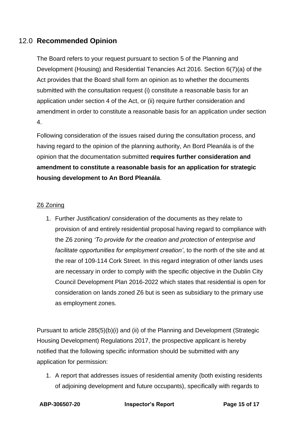## <span id="page-14-0"></span>12.0 **Recommended Opinion**

The Board refers to your request pursuant to section 5 of the Planning and Development (Housing) and Residential Tenancies Act 2016. Section 6(7)(a) of the Act provides that the Board shall form an opinion as to whether the documents submitted with the consultation request (i) constitute a reasonable basis for an application under section 4 of the Act, or (ii) require further consideration and amendment in order to constitute a reasonable basis for an application under section 4.

Following consideration of the issues raised during the consultation process, and having regard to the opinion of the planning authority, An Bord Pleanála is of the opinion that the documentation submitted **requires further consideration and amendment to constitute a reasonable basis for an application for strategic housing development to An Bord Pleanála**.

### Z6 Zoning

1. Further Justification/ consideration of the documents as they relate to provision of and entirely residential proposal having regard to compliance with the Z6 zoning *'To provide for the creation and protection of enterprise and facilitate opportunities for employment creation'*, to the north of the site and at the rear of 109-114 Cork Street. In this regard integration of other lands uses are necessary in order to comply with the specific objective in the Dublin City Council Development Plan 2016-2022 which states that residential is open for consideration on lands zoned Z6 but is seen as subsidiary to the primary use as employment zones.

Pursuant to article 285(5)(b)(i) and (ii) of the Planning and Development (Strategic Housing Development) Regulations 2017, the prospective applicant is hereby notified that the following specific information should be submitted with any application for permission:

1. A report that addresses issues of residential amenity (both existing residents of adjoining development and future occupants), specifically with regards to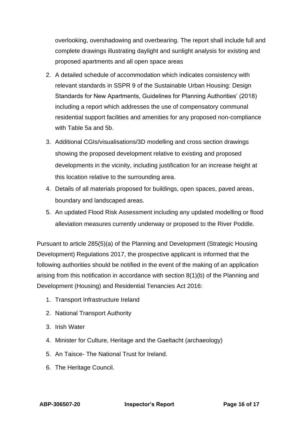overlooking, overshadowing and overbearing. The report shall include full and complete drawings illustrating daylight and sunlight analysis for existing and proposed apartments and all open space areas

- 2. A detailed schedule of accommodation which indicates consistency with relevant standards in SSPR 9 of the Sustainable Urban Housing: Design Standards for New Apartments, Guidelines for Planning Authorities' (2018) including a report which addresses the use of compensatory communal residential support facilities and amenities for any proposed non-compliance with Table 5a and 5b.
- 3. Additional CGIs/visualisations/3D modelling and cross section drawings showing the proposed development relative to existing and proposed developments in the vicinity, including justification for an increase height at this location relative to the surrounding area.
- 4. Details of all materials proposed for buildings, open spaces, paved areas, boundary and landscaped areas.
- 5. An updated Flood Risk Assessment including any updated modelling or flood alleviation measures currently underway or proposed to the River Poddle.

Pursuant to article 285(5)(a) of the Planning and Development (Strategic Housing Development) Regulations 2017, the prospective applicant is informed that the following authorities should be notified in the event of the making of an application arising from this notification in accordance with section 8(1)(b) of the Planning and Development (Housing) and Residential Tenancies Act 2016:

- 1. Transport Infrastructure Ireland
- 2. National Transport Authority
- 3. Irish Water
- 4. Minister for Culture, Heritage and the Gaeltacht (archaeology)
- 5. An Taisce- The National Trust for Ireland.
- 6. The Heritage Council.